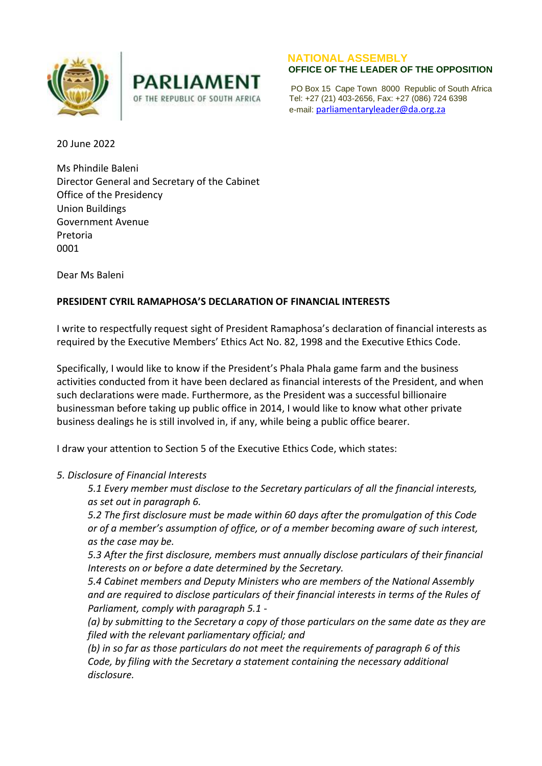



## **NATIONAL ASSEMBLY**

 PO Box 15 Cape Town 8000 Republic of South Africa OF THE REPUBLIC OF SOUTH AFRICA Tel: +27 (21) 403-2656, Fax: +27 (086) 724 6398 e-mail: [parliamentaryleader@da.org.za](mailto:parliamentaryleader@da.org.za)

20 June 2022

Ms Phindile Baleni Director General and Secretary of the Cabinet Office of the Presidency Union Buildings Government Avenue Pretoria 0001

Dear Ms Baleni

## **PRESIDENT CYRIL RAMAPHOSA'S DECLARATION OF FINANCIAL INTERESTS**

I write to respectfully request sight of President Ramaphosa's declaration of financial interests as required by the Executive Members' Ethics Act No. 82, 1998 and the Executive Ethics Code.

Specifically, I would like to know if the President's Phala Phala game farm and the business activities conducted from it have been declared as financial interests of the President, and when such declarations were made. Furthermore, as the President was a successful billionaire businessman before taking up public office in 2014, I would like to know what other private business dealings he is still involved in, if any, while being a public office bearer.

I draw your attention to Section 5 of the Executive Ethics Code, which states:

## *5. Disclosure of Financial Interests*

*5.1 Every member must disclose to the Secretary particulars of all the financial interests, as set out in paragraph 6.*

*5.2 The first disclosure must be made within 60 days after the promulgation of this Code or of a member's assumption of office, or of a member becoming aware of such interest, as the case may be.*

*5.3 After the first disclosure, members must annually disclose particulars of their financial Interests on or before a date determined by the Secretary.*

*5.4 Cabinet members and Deputy Ministers who are members of the National Assembly and are required to disclose particulars of their financial interests in terms of the Rules of Parliament, comply with paragraph 5.1 -*

*(a) by submitting to the Secretary a copy of those particulars on the same date as they are filed with the relevant parliamentary official; and*

*(b) in so far as those particulars do not meet the requirements of paragraph 6 of this Code, by filing with the Secretary a statement containing the necessary additional disclosure.*